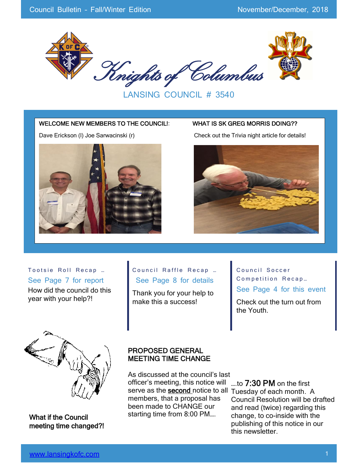

LANSING COUNCIL # 3540

#### WELCOME NEW MEMBERS TO THE COUNCIL!: WHAT IS SK GREG MORRIS DOING??



Dave Erickson (I) Joe Sarwacinski (r) Check out the Trivia night article for details!



Tootsie Roll Recap ... See Page 7 for report How did the council do this year with your help?!

#### Council Raffle Recap ... See Page 8 for details

Thank you for your help to make this a success!

Council Soccer Competition Recap... See Page 4 for this event

Check out the turn out from the Youth.



What if the Council meeting time changed?!

#### PROPOSED GENERAL MEETING TIME CHANGE

As discussed at the council's last officer's meeting, this notice will serve as the **second** notice to all Tuesday of each month. A members, that a proposal has been made to CHANGE our starting time from 8:00 PM….

….to 7:30 PM on the first Council Resolution will be drafted and read (twice) regarding this change, to co-inside with the publishing of this notice in our this newsletter.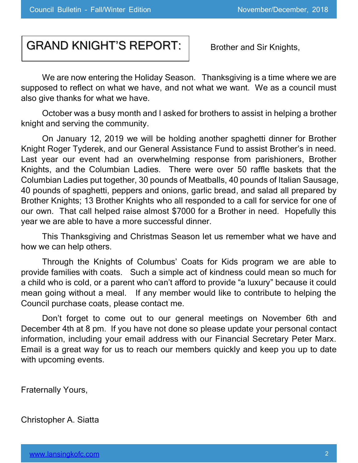# GRAND KNIGHT'S REPORT:

Brother and Sir Knights,

We are now entering the Holiday Season. Thanksgiving is a time where we are supposed to reflect on what we have, and not what we want. We as a council must also give thanks for what we have.

October was a busy month and I asked for brothers to assist in helping a brother knight and serving the community.

On January 12, 2019 we will be holding another spaghetti dinner for Brother Knight Roger Tyderek, and our General Assistance Fund to assist Brother's in need. Last year our event had an overwhelming response from parishioners, Brother Knights, and the Columbian Ladies. There were over 50 raffle baskets that the Columbian Ladies put together, 30 pounds of Meatballs, 40 pounds of Italian Sausage, 40 pounds of spaghetti, peppers and onions, garlic bread, and salad all prepared by Brother Knights; 13 Brother Knights who all responded to a call for service for one of our own. That call helped raise almost \$7000 for a Brother in need. Hopefully this year we are able to have a more successful dinner.

This Thanksgiving and Christmas Season let us remember what we have and how we can help others.

Through the Knights of Columbus' Coats for Kids program we are able to provide families with coats. Such a simple act of kindness could mean so much for a child who is cold, or a parent who can't afford to provide "a luxury" because it could mean going without a meal. If any member would like to contribute to helping the Council purchase coats, please contact me.

Don't forget to come out to our general meetings on November 6th and December 4th at 8 pm. If you have not done so please update your personal contact information, including your email address with our Financial Secretary Peter Marx. Email is a great way for us to reach our members quickly and keep you up to date with upcoming events.

Fraternally Yours,

Christopher A. Siatta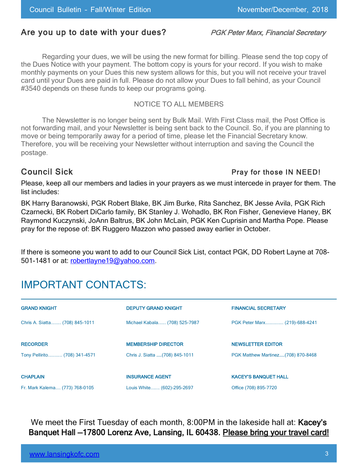# Are you up to date with your dues? PGK Peter Marx, Financial Secretary

Regarding your dues, we will be using the new format for billing. Please send the top copy of the Dues Notice with your payment. The bottom copy is yours for your record. If you wish to make monthly payments on your Dues this new system allows for this, but you will not receive your travel card until your Dues are paid in full. Please do not allow your Dues to fall behind, as your Council #3540 depends on these funds to keep our programs going.

#### NOTICE TO ALL MEMBERS

The Newsletter is no longer being sent by Bulk Mail. With First Class mail, the Post Office is not forwarding mail, and your Newsletter is being sent back to the Council. So, if you are planning to move or being temporarily away for a period of time, please let the Financial Secretary know. Therefore, you will be receiving your Newsletter without interruption and saving the Council the postage.

#### Council Sick **Pray for those IN NEED!**

Please, keep all our members and ladies in your prayers as we must intercede in prayer for them. The list includes:

BK Harry Baranowski, PGK Robert Blake, BK Jim Burke, Rita Sanchez, BK Jesse Avila, PGK Rich Czarnecki, BK Robert DiCarlo family, BK Stanley J. Wohadlo, BK Ron Fisher, Genevieve Haney, BK Raymond Kuczynski, JoAnn Baltrus, BK John McLain, PGK Ken Cuprisin and Martha Pope. Please pray for the repose of: BK Ruggero Mazzon who passed away earlier in October.

If there is someone you want to add to our Council Sick List, contact PGK, DD Robert Layne at 708 501-1481 or at: [robertlayne19@yahoo.com.](mailto:robertlayne19@yahoo.com)

# IMPORTANT CONTACTS:

| <b>GRAND KNIGHT</b>            | <b>DEPUTY GRAND KNIGHT</b>     | <b>FINANCIAL SECRETARY</b>         |
|--------------------------------|--------------------------------|------------------------------------|
| Chris A. Siatta (708) 845-1011 | Michael Kabala (708) 525-7987  | PGK Peter Marx (219)-688-4241      |
| <b>RECORDER</b>                | <b>MEMBERSHIP DIRECTOR</b>     | <b>NEWSLETTER EDITOR</b>           |
| Tony Pellirito (708) 341-4571  | Chris J. Siatta (708) 845-1011 | PGK Matthew Martinez(708) 870-8468 |
| <b>CHAPLAIN</b>                | <b>INSURANCE AGENT</b>         | <b>KACEY'S BANQUET HALL</b>        |
| Fr. Mark Kalema (773) 768-0105 | Louis White (602)-295-2697     | Office (708) 895-7720              |

We meet the First Tuesday of each month, 8:00PM in the lakeside hall at: Kacey's Banquet Hall —17800 Lorenz Ave, Lansing, IL 60438. Please bring your travel card!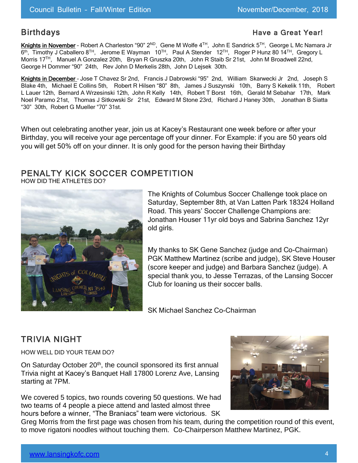#### Birthdays **Have a Great Year!** A Great Year!

Knights in November - Robert A Charleston "90" 2<sup>ND</sup>, Gene M Wolfe 4<sup>™</sup>, John E Sandrick 5™, George L Mc Namara Jr 6<sup>th</sup>, Timothy J Caballero 8<sup>TH</sup>, Jerome E Wayman 10<sup>TH</sup>, Paul A Stender 12<sup>TH</sup>, Roger P Hunz 80 14<sup>TH</sup>, Gregory L Morris 17TH, Manuel A Gonzalez 20th, Bryan R Gruszka 20th, John R Staib Sr 21st, John M Broadwell 22nd, George H Dommer "90" 24th, Rev John D Merkelis 28th, John D Lejsek 30th.

Knights in December – Jose T Chavez Sr 2nd, Francis J Dabrowski "95" 2nd, William Skarwecki Jr 2nd, Joseph S Blake 4th, Michael E Collins 5th, Robert R Hilsen "80" 8th, James J Suszynski 10th, Barry S Kekelik 11th, Robert L Lauer 12th, Bernard A Wrzesinski 12th, John R Kelly 14th, Robert T Borst 16th, Gerald M Sebahar 17th, Mark Noel Paramo 21st, Thomas J Sitkowski Sr 21st, Edward M Stone 23rd, Richard J Haney 30th, Jonathan B Siatta "30" 30th, Robert G Mueller "70" 31st.

When out celebrating another year, join us at Kacey's Restaurant one week before or after your Birthday, you will receive your age percentage off your dinner. For Example: if you are 50 years old you will get 50% off on your dinner. It is only good for the person having their Birthday

### PENALTY KICK SOCCER COMPETITION

HOW DID THE ATHLETES DO?



The Knights of Columbus Soccer Challenge took place on Saturday, September 8th, at Van Latten Park 18324 Holland Road. This years' Soccer Challenge Champions are: Jonathan Houser 11yr old boys and Sabrina Sanchez 12yr old girls.

My thanks to SK Gene Sanchez (judge and Co-Chairman) PGK Matthew Martinez (scribe and judge), SK Steve Houser (score keeper and judge) and Barbara Sanchez (judge). A special thank you, to Jesse Terrazas, of the Lansing Soccer Club for loaning us their soccer balls.

SK Michael Sanchez Co-Chairman

# TRIVIA NIGHT

HOW WELL DID YOUR TEAM DO?

On Saturday October 20<sup>th</sup>, the council sponsored its first annual Trivia night at Kacey's Banquet Hall 17800 Lorenz Ave, Lansing starting at 7PM.

We covered 5 topics, two rounds covering 50 questions. We had two teams of 4 people a piece attend and lasted almost three hours before a winner, "The Braniacs" team were victorious. SK



Greg Morris from the first page was chosen from his team, during the competition round of this event, to move rigatoni noodles without touching them. Co-Chairperson Matthew Martinez, PGK.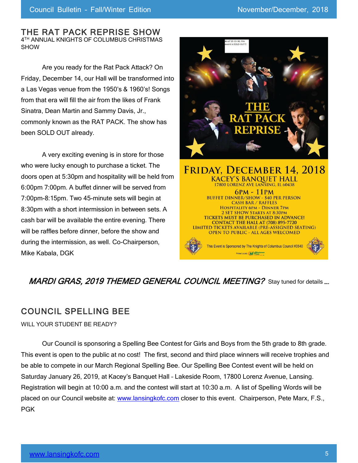#### THE RAT PACK REPRISE SHOW 4 TH ANNUAL KNIGHTS OF COLUMBUS CHRISTMAS SHOW

Are you ready for the Rat Pack Attack? On Friday, December 14, our Hall will be transformed into a Las Vegas venue from the 1950's & 1960's! Songs from that era will fill the air from the likes of Frank Sinatra, Dean Martin and Sammy Davis, Jr., commonly known as the RAT PACK. The show has been SOLD OUT already.

A very exciting evening is in store for those who were lucky enough to purchase a ticket. The doors open at 5:30pm and hospitality will be held from 6:00pm 7:00pm. A buffet dinner will be served from 7:00pm-8:15pm. Two 45-minute sets will begin at 8:30pm with a short intermission in between sets. A cash bar will be available the entire evening. There will be raffles before dinner, before the show and during the intermission, as well. Co-Chairperson, Mike Kabala, DGK





# MARDI GRAS, 2019 THEMED GENERAL COUNCIL MEETING? Stay tuned for details ....

# COUNCIL SPELLING BEE

WILL YOUR STUDENT BE READY?

Our Council is sponsoring a Spelling Bee Contest for Girls and Boys from the 5th grade to 8th grade. This event is open to the public at no cost! The first, second and third place winners will receive trophies and be able to compete in our March Regional Spelling Bee. Our Spelling Bee Contest event will be held on Saturday January 26, 2019, at Kacey's Banquet Hall – Lakeside Room, 17800 Lorenz Avenue, Lansing. Registration will begin at 10:00 a.m. and the contest will start at 10:30 a.m. A list of Spelling Words will be placed on our Council website at: [www.lansingkofc.com](http://www.lansingkofc.com/) closer to this event. Chairperson, Pete Marx, F.S., PGK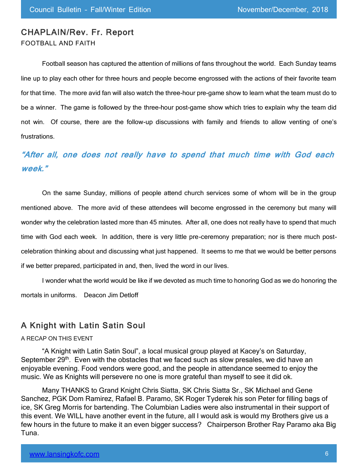### CHAPLAIN/Rev. Fr. Report FOOTBALL AND FAITH

Football season has captured the attention of millions of fans throughout the world. Each Sunday teams line up to play each other for three hours and people become engrossed with the actions of their favorite team for that time. The more avid fan will also watch the three-hour pre-game show to learn what the team must do to be a winner. The game is followed by the three-hour post-game show which tries to explain why the team did not win. Of course, there are the follow-up discussions with family and friends to allow venting of one's frustrations.

# **"After all, one does not really have to spend that much time with God each week."**

On the same Sunday, millions of people attend church services some of whom will be in the group mentioned above. The more avid of these attendees will become engrossed in the ceremony but many will wonder why the celebration lasted more than 45 minutes. After all, one does not really have to spend that much time with God each week. In addition, there is very little pre-ceremony preparation; nor is there much postcelebration thinking about and discussing what just happened. It seems to me that we would be better persons if we better prepared, participated in and, then, lived the word in our lives.

I wonder what the world would be like if we devoted as much time to honoring God as we do honoring the mortals in uniforms. Deacon Jim Detloff

### A Knight with Latin Satin Soul

#### A RECAP ON THIS EVENT

"A Knight with Latin Satin Soul", a local musical group played at Kacey's on Saturday, September 29<sup>th</sup>. Even with the obstacles that we faced such as slow presales, we did have an enjoyable evening. Food vendors were good, and the people in attendance seemed to enjoy the music. We as Knights will persevere no one is more grateful than myself to see it did ok.

Many THANKS to Grand Knight Chris Siatta, SK Chris Siatta Sr., SK Michael and Gene Sanchez, PGK Dom Ramirez, Rafael B. Paramo, SK Roger Tyderek his son Peter for filling bags of ice, SK Greg Morris for bartending. The Columbian Ladies were also instrumental in their support of this event. We WILL have another event in the future, all I would ask is would my Brothers give us a few hours in the future to make it an even bigger success? Chairperson Brother Ray Paramo aka Big Tuna.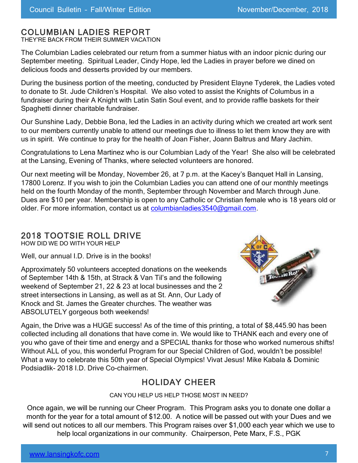## COLUMBIAN LADIES REPORT

THEY'RE BACK FROM THEIR SUMMER VACATION

The Columbian Ladies celebrated our return from a summer hiatus with an indoor picnic during our September meeting. Spiritual Leader, Cindy Hope, led the Ladies in prayer before we dined on delicious foods and desserts provided by our members.

During the business portion of the meeting, conducted by President Elayne Tyderek, the Ladies voted to donate to St. Jude Children's Hospital. We also voted to assist the Knights of Columbus in a fundraiser during their A Knight with Latin Satin Soul event, and to provide raffle baskets for their Spaghetti dinner charitable fundraiser.

Our Sunshine Lady, Debbie Bona, led the Ladies in an activity during which we created art work sent to our members currently unable to attend our meetings due to illness to let them know they are with us in spirit. We continue to pray for the health of Joan Fisher, Joann Baltrus and Mary Jachim.

Congratulations to Lena Martinez who is our Columbian Lady of the Year! She also will be celebrated at the Lansing, Evening of Thanks, where selected volunteers are honored.

Our next meeting will be Monday, November 26, at 7 p.m. at the Kacey's Banquet Hall in Lansing, 17800 Lorenz. If you wish to join the Columbian Ladies you can attend one of our monthly meetings held on the fourth Monday of the month, September through November and March through June. Dues are \$10 per year. Membership is open to any Catholic or Christian female who is 18 years old or older. For more information, contact us at [columbianladies3540@gmail.com.](mailto:columbianladies3540@gmail.com)

# 2018 TOOTSIE ROLL DRIVE

HOW DID WE DO WITH YOUR HELP

Well, our annual I.D. Drive is in the books!

Approximately 50 volunteers accepted donations on the weekends of September 14th & 15th, at Strack & Van Til's and the following weekend of September 21, 22 & 23 at local businesses and the 2 street intersections in Lansing, as well as at St. Ann, Our Lady of Knock and St. James the Greater churches. The weather was ABSOLUTELY gorgeous both weekends!



Again, the Drive was a HUGE success! As of the time of this printing, a total of \$8,445.90 has been collected including all donations that have come in. We would like to THANK each and every one of you who gave of their time and energy and a SPECIAL thanks for those who worked numerous shifts! Without ALL of you, this wonderful Program for our Special Children of God, wouldn't be possible! What a way to celebrate this 50th year of Special Olympics! Vivat Jesus! Mike Kabala & Dominic Podsiadlik- 2018 I.D. Drive Co-chairmen.

# HOLIDAY CHEER

CAN YOU HELP US HELP THOSE MOST IN NEED?

Once again, we will be running our Cheer Program. This Program asks you to donate one dollar a month for the year for a total amount of \$12.00. A notice will be passed out with your Dues and we will send out notices to all our members. This Program raises over \$1,000 each year which we use to help local organizations in our community. Chairperson, Pete Marx, F.S., PGK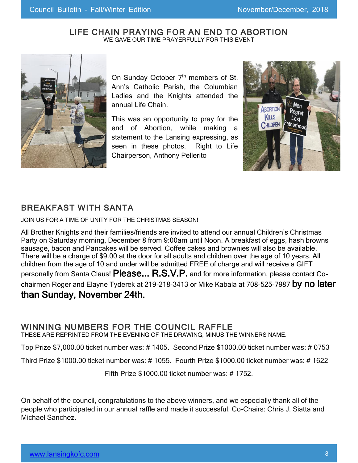#### LIFE CHAIN PRAYING FOR AN END TO ABORTION WE GAVE OUR TIME PRAYERFULLY FOR THIS EVENT



On Sunday October 7<sup>th</sup> members of St. Ann's Catholic Parish, the Columbian Ladies and the Knights attended the annual Life Chain.

This was an opportunity to pray for the end of Abortion, while making a statement to the Lansing expressing, as seen in these photos. Right to Life Chairperson, Anthony Pellerito



# BREAKFAST WITH SANTA

JOIN US FOR A TIME OF UNITY FOR THE CHRISTMAS SEASON!

All Brother Knights and their families/friends are invited to attend our annual Children's Christmas Party on Saturday morning, December 8 from 9:00am until Noon. A breakfast of eggs, hash browns sausage, bacon and Pancakes will be served. Coffee cakes and brownies will also be available. There will be a charge of \$9.00 at the door for all adults and children over the age of 10 years. All children from the age of 10 and under will be admitted FREE of charge and will receive a GIFT personally from Santa Claus! Please... R.S.V.P. and for more information, please contact Cochairmen Roger and Elayne Tyderek at 219-218-3413 or Mike Kabala at 708-525-7987 by no later than Sunday, November 24th.

## WINNING NUMBERS FOR THE COUNCIL RAFFLE

THESE ARE REPRINTED FROM THE EVENING OF THE DRAWING, MINUS THE WINNERS NAME.

Top Prize \$7,000.00 ticket number was: # 1405. Second Prize \$1000.00 ticket number was: # 0753

Third Prize \$1000.00 ticket number was: # 1055. Fourth Prize \$1000.00 ticket number was: # 1622

Fifth Prize \$1000.00 ticket number was: # 1752.

On behalf of the council, congratulations to the above winners, and we especially thank all of the people who participated in our annual raffle and made it successful. Co-Chairs: Chris J. Siatta and Michael Sanchez.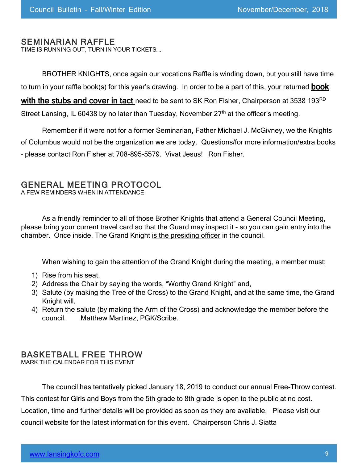#### SEMINARIAN RAFFLE

TIME IS RUNNING OUT, TURN IN YOUR TICKETS….

BROTHER KNIGHTS, once again our vocations Raffle is winding down, but you still have time to turn in your raffle book(s) for this year's drawing. In order to be a part of this, your returned **book** 

with the stubs and cover in tact need to be sent to SK Ron Fisher, Chairperson at 3538 193RD

Street Lansing, IL 60438 by no later than Tuesday, November 27<sup>th</sup> at the officer's meeting.

Remember if it were not for a former Seminarian, Father Michael J. McGivney, we the Knights of Columbus would not be the organization we are today. Questions/for more information/extra books – please contact Ron Fisher at 708-895-5579. Vivat Jesus! Ron Fisher.

#### GENERAL MEETING PROTOCOL

A FEW REMINDERS WHEN IN ATTENDANCE

As a friendly reminder to all of those Brother Knights that attend a General Council Meeting, please bring your current travel card so that the Guard may inspect it - so you can gain entry into the chamber. Once inside, The Grand Knight is the presiding officer in the council.

When wishing to gain the attention of the Grand Knight during the meeting, a member must;

- 1) Rise from his seat,
- 2) Address the Chair by saying the words, "Worthy Grand Knight" and,
- 3) Salute (by making the Tree of the Cross) to the Grand Knight, and at the same time, the Grand Knight will,
- 4) Return the salute (by making the Arm of the Cross) and acknowledge the member before the council. Matthew Martinez, PGK/Scribe.

### BASKETBALL FREE THROW

MARK THE CALENDAR FOR THIS EVENT

The council has tentatively picked January 18, 2019 to conduct our annual Free-Throw contest. This contest for Girls and Boys from the 5th grade to 8th grade is open to the public at no cost. Location, time and further details will be provided as soon as they are available. Please visit our council website for the latest information for this event. Chairperson Chris J. Siatta